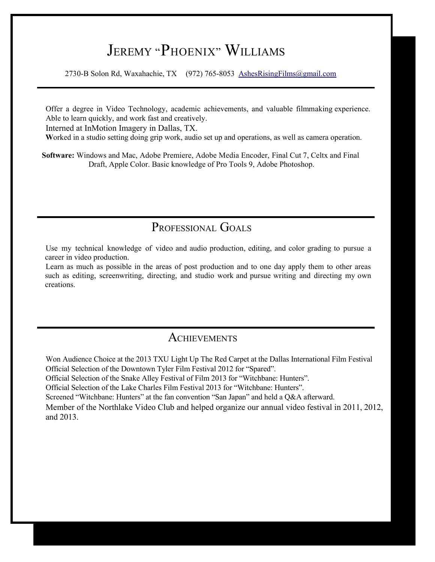# JEREMY "PHOENIX" WILLIAMS

2730-B Solon Rd, Waxahachie, TX (972) 765-8053 [AshesRisingFilms@gmail.com](mailto:AshesRisingFilms@gmail.com)

Offer a degree in Video Technology, academic achievements, and valuable filmmaking experience. Able to learn quickly, and work fast and creatively.

Interned at InMotion Imagery in Dallas, TX.

 **W**orked in a studio setting doing grip work, audio set up and operations, as well as camera operation.

**Software:** Windows and Mac, Adobe Premiere, Adobe Media Encoder, Final Cut 7, Celtx and Final Draft, Apple Color. Basic knowledge of Pro Tools 9, Adobe Photoshop.

## PROFESSIONAL GOALS

Use my technical knowledge of video and audio production, editing, and color grading to pursue a career in video production.

Learn as much as possible in the areas of post production and to one day apply them to other areas such as editing, screenwriting, directing, and studio work and pursue writing and directing my own creations.

### **ACHIEVEMENTS**

Won Audience Choice at the 2013 TXU Light Up The Red Carpet at the Dallas International Film Festival Official Selection of the Downtown Tyler Film Festival 2012 for "Spared".

Official Selection of the Snake Alley Festival of Film 2013 for "Witchbane: Hunters".

Official Selection of the Lake Charles Film Festival 2013 for "Witchbane: Hunters".

Screened "Witchbane: Hunters" at the fan convention "San Japan" and held a Q&A afterward.

Member of the Northlake Video Club and helped organize our annual video festival in 2011, 2012, and 2013.